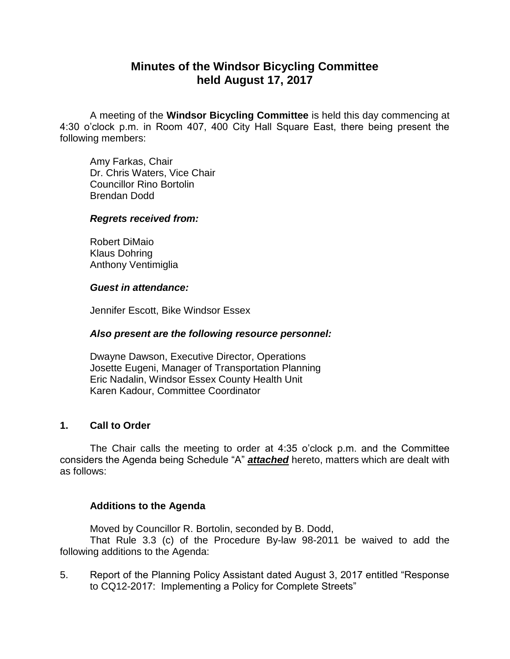## **Minutes of the Windsor Bicycling Committee held August 17, 2017**

A meeting of the **Windsor Bicycling Committee** is held this day commencing at 4:30 o'clock p.m. in Room 407, 400 City Hall Square East, there being present the following members:

Amy Farkas, Chair Dr. Chris Waters, Vice Chair Councillor Rino Bortolin Brendan Dodd

#### *Regrets received from:*

Robert DiMaio Klaus Dohring Anthony Ventimiglia

### *Guest in attendance:*

Jennifer Escott, Bike Windsor Essex

## *Also present are the following resource personnel:*

Dwayne Dawson, Executive Director, Operations Josette Eugeni, Manager of Transportation Planning Eric Nadalin, Windsor Essex County Health Unit Karen Kadour, Committee Coordinator

## **1. Call to Order**

The Chair calls the meeting to order at 4:35 o'clock p.m. and the Committee considers the Agenda being Schedule "A" *attached* hereto, matters which are dealt with as follows:

## **Additions to the Agenda**

Moved by Councillor R. Bortolin, seconded by B. Dodd,

That Rule 3.3 (c) of the Procedure By-law 98-2011 be waived to add the following additions to the Agenda:

5. Report of the Planning Policy Assistant dated August 3, 2017 entitled "Response to CQ12-2017: Implementing a Policy for Complete Streets"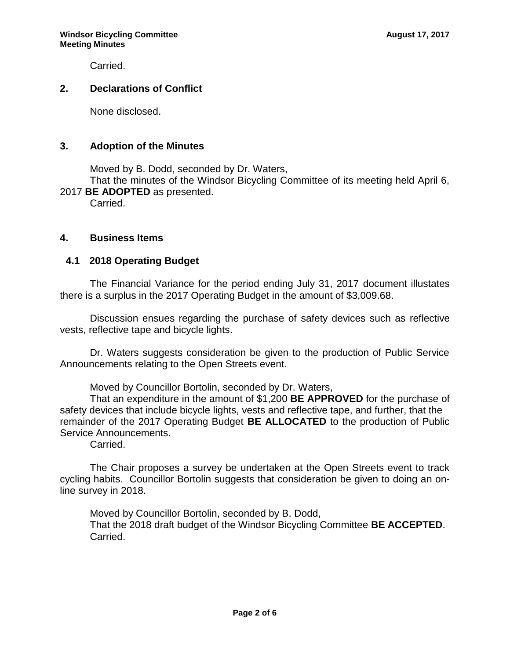Carried.

## **2. Declarations of Conflict**

None disclosed.

### **3. Adoption of the Minutes**

Moved by B. Dodd, seconded by Dr. Waters,

That the minutes of the Windsor Bicycling Committee of its meeting held April 6, 2017 **BE ADOPTED** as presented.

Carried.

## **4. Business Items**

## **4.1 2018 Operating Budget**

The Financial Variance for the period ending July 31, 2017 document illustates there is a surplus in the 2017 Operating Budget in the amount of \$3,009.68.

Discussion ensues regarding the purchase of safety devices such as reflective vests, reflective tape and bicycle lights.

Dr. Waters suggests consideration be given to the production of Public Service Announcements relating to the Open Streets event.

Moved by Councillor Bortolin, seconded by Dr. Waters,

That an expenditure in the amount of \$1,200 **BE APPROVED** for the purchase of safety devices that include bicycle lights, vests and reflective tape, and further, that the remainder of the 2017 Operating Budget **BE ALLOCATED** to the production of Public Service Announcements.

Carried.

The Chair proposes a survey be undertaken at the Open Streets event to track cycling habits. Councillor Bortolin suggests that consideration be given to doing an online survey in 2018.

Moved by Councillor Bortolin, seconded by B. Dodd, That the 2018 draft budget of the Windsor Bicycling Committee **BE ACCEPTED**. Carried.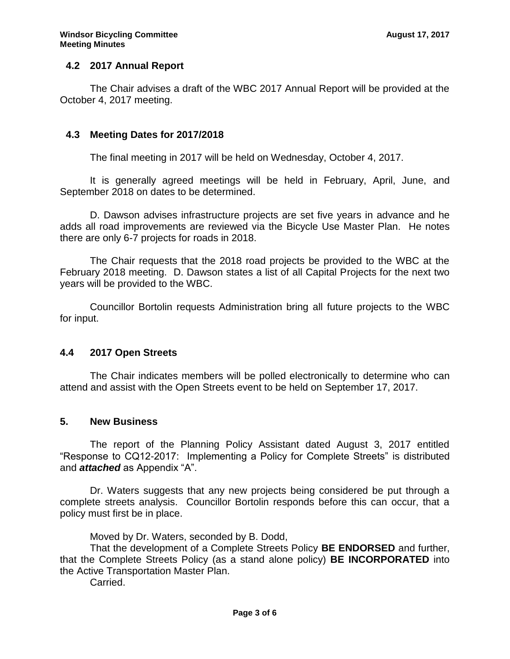## **4.2 2017 Annual Report**

The Chair advises a draft of the WBC 2017 Annual Report will be provided at the October 4, 2017 meeting.

### **4.3 Meeting Dates for 2017/2018**

The final meeting in 2017 will be held on Wednesday, October 4, 2017.

It is generally agreed meetings will be held in February, April, June, and September 2018 on dates to be determined.

D. Dawson advises infrastructure projects are set five years in advance and he adds all road improvements are reviewed via the Bicycle Use Master Plan. He notes there are only 6-7 projects for roads in 2018.

The Chair requests that the 2018 road projects be provided to the WBC at the February 2018 meeting. D. Dawson states a list of all Capital Projects for the next two years will be provided to the WBC.

 Councillor Bortolin requests Administration bring all future projects to the WBC for input.

#### **4.4 2017 Open Streets**

The Chair indicates members will be polled electronically to determine who can attend and assist with the Open Streets event to be held on September 17, 2017.

#### **5. New Business**

The report of the Planning Policy Assistant dated August 3, 2017 entitled "Response to CQ12-2017: Implementing a Policy for Complete Streets" is distributed and *attached* as Appendix "A".

Dr. Waters suggests that any new projects being considered be put through a complete streets analysis. Councillor Bortolin responds before this can occur, that a policy must first be in place.

Moved by Dr. Waters, seconded by B. Dodd,

That the development of a Complete Streets Policy **BE ENDORSED** and further, that the Complete Streets Policy (as a stand alone policy) **BE INCORPORATED** into the Active Transportation Master Plan.

Carried.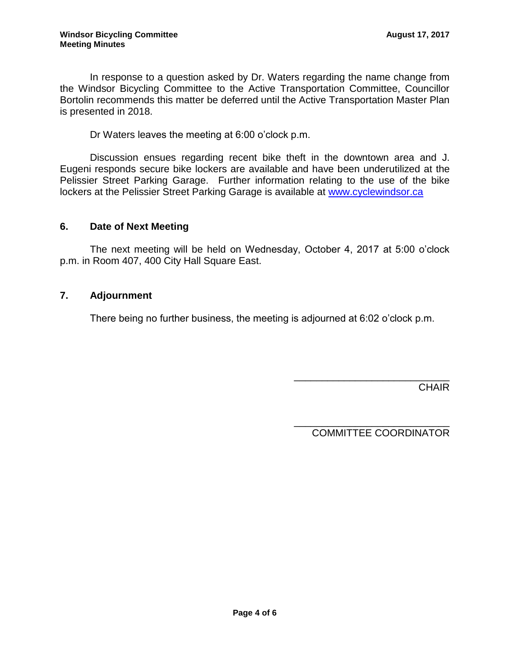In response to a question asked by Dr. Waters regarding the name change from the Windsor Bicycling Committee to the Active Transportation Committee, Councillor Bortolin recommends this matter be deferred until the Active Transportation Master Plan is presented in 2018.

Dr Waters leaves the meeting at 6:00 o'clock p.m.

Discussion ensues regarding recent bike theft in the downtown area and J. Eugeni responds secure bike lockers are available and have been underutilized at the Pelissier Street Parking Garage. Further information relating to the use of the bike lockers at the Pelissier Street Parking Garage is available at [www.cyclewindsor.ca](http://www.cyclewindsor.ca/)

## **6. Date of Next Meeting**

The next meeting will be held on Wednesday, October 4, 2017 at 5:00 o'clock p.m. in Room 407, 400 City Hall Square East.

### **7. Adjournment**

There being no further business, the meeting is adjourned at 6:02 o'clock p.m.

**CHAIR** 

COMMITTEE COORDINATOR

\_\_\_\_\_\_\_\_\_\_\_\_\_\_\_\_\_\_\_\_\_\_\_\_\_\_\_\_

\_\_\_\_\_\_\_\_\_\_\_\_\_\_\_\_\_\_\_\_\_\_\_\_\_\_\_\_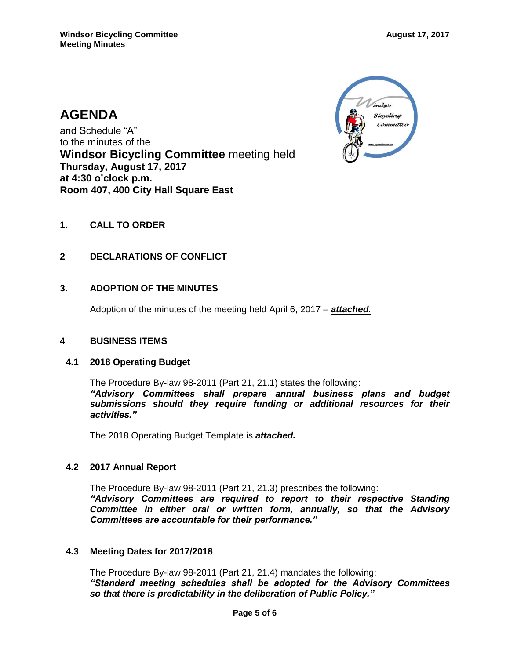# **AGENDA**

and Schedule "A" to the minutes of the **Windsor Bicycling Committee** meeting held **Thursday, August 17, 2017 at 4:30 o'clock p.m. Room 407, 400 City Hall Square East**



## **1. CALL TO ORDER**

### **2 DECLARATIONS OF CONFLICT**

### **3. ADOPTION OF THE MINUTES**

Adoption of the minutes of the meeting held April 6, 2017 – *attached.*

#### **4 BUSINESS ITEMS**

#### **4.1 2018 Operating Budget**

The Procedure By-law 98-2011 (Part 21, 21.1) states the following: *"Advisory Committees shall prepare annual business plans and budget submissions should they require funding or additional resources for their activities."*

The 2018 Operating Budget Template is *attached.*

#### **4.2 2017 Annual Report**

The Procedure By-law 98-2011 (Part 21, 21.3) prescribes the following: *"Advisory Committees are required to report to their respective Standing Committee in either oral or written form, annually, so that the Advisory Committees are accountable for their performance."*

#### **4.3 Meeting Dates for 2017/2018**

The Procedure By-law 98-2011 (Part 21, 21.4) mandates the following: *"Standard meeting schedules shall be adopted for the Advisory Committees so that there is predictability in the deliberation of Public Policy."*